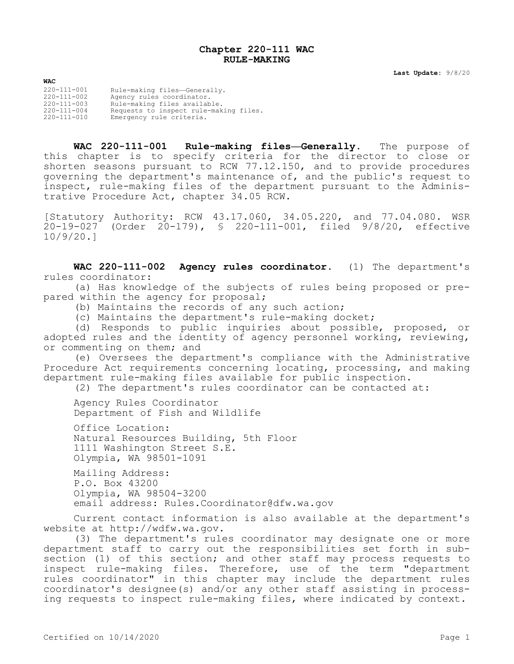## **Chapter 220-111 WAC RULE-MAKING**

**Last Update:** 9/8/20

**WAC** 220-111-001 Rule-making files—Generally. 220-111-002 Agency rules coordinator. 220-111-003 Rule-making files available. 220-111-004 Requests to inspect rule-making files.<br>220-111-010 Emergency rule criteria. Emergency rule criteria.

**WAC 220-111-001 Rule-making files—Generally.** The purpose of this chapter is to specify criteria for the director to close or shorten seasons pursuant to RCW 77.12.150, and to provide procedures governing the department's maintenance of, and the public's request to inspect, rule-making files of the department pursuant to the Administrative Procedure Act, chapter 34.05 RCW.

[Statutory Authority: RCW 43.17.060, 34.05.220, and 77.04.080. WSR 20-19-027 (Order 20-179), § 220-111-001, filed 9/8/20, effective 10/9/20.]

**WAC 220-111-002 Agency rules coordinator.** (1) The department's rules coordinator:

(a) Has knowledge of the subjects of rules being proposed or prepared within the agency for proposal;

(b) Maintains the records of any such action;

(c) Maintains the department's rule-making docket;

(d) Responds to public inquiries about possible, proposed, or adopted rules and the identity of agency personnel working, reviewing, or commenting on them; and

(e) Oversees the department's compliance with the Administrative Procedure Act requirements concerning locating, processing, and making department rule-making files available for public inspection.

(2) The department's rules coordinator can be contacted at:

Agency Rules Coordinator Department of Fish and Wildlife

Office Location: Natural Resources Building, 5th Floor 1111 Washington Street S.E. Olympia, WA 98501-1091

Mailing Address: P.O. Box 43200 Olympia, WA 98504-3200 email address: Rules. Coordinator@dfw.wa.gov

Current contact information is also available at the department's website at http://wdfw.wa.gov.

(3) The department's rules coordinator may designate one or more department staff to carry out the responsibilities set forth in subsection (1) of this section; and other staff may process requests to inspect rule-making files. Therefore, use of the term "department rules coordinator" in this chapter may include the department rules coordinator's designee(s) and/or any other staff assisting in processing requests to inspect rule-making files, where indicated by context.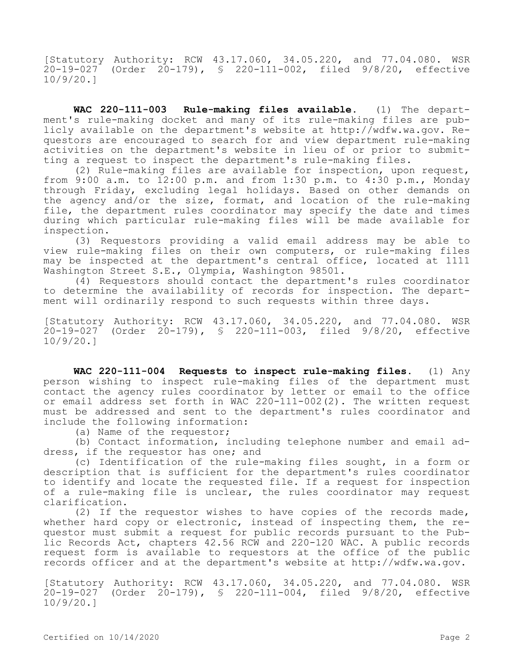[Statutory Authority: RCW 43.17.060, 34.05.220, and 77.04.080. WSR 20-19-027 (Order 20-179), § 220-111-002, filed 9/8/20, effective 10/9/20.]

**WAC 220-111-003 Rule-making files available.** (1) The department's rule-making docket and many of its rule-making files are publicly available on the department's website at http://wdfw.wa.gov. Requestors are encouraged to search for and view department rule-making activities on the department's website in lieu of or prior to submitting a request to inspect the department's rule-making files.

(2) Rule-making files are available for inspection, upon request, from 9:00 a.m. to  $12:00$  p.m. and from 1:30 p.m. to 4:30 p.m., Monday through Friday, excluding legal holidays. Based on other demands on the agency and/or the size, format, and location of the rule-making file, the department rules coordinator may specify the date and times during which particular rule-making files will be made available for inspection.

(3) Requestors providing a valid email address may be able to view rule-making files on their own computers, or rule-making files may be inspected at the department's central office, located at 1111 Washington Street S.E., Olympia, Washington 98501.

(4) Requestors should contact the department's rules coordinator to determine the availability of records for inspection. The department will ordinarily respond to such requests within three days.

[Statutory Authority: RCW 43.17.060, 34.05.220, and 77.04.080. WSR 20-19-027 (Order 20-179), § 220-111-003, filed 9/8/20, effective 10/9/20.]

**WAC 220-111-004 Requests to inspect rule-making files.** (1) Any person wishing to inspect rule-making files of the department must contact the agency rules coordinator by letter or email to the office or email address set forth in WAC 220-111-002(2). The written request must be addressed and sent to the department's rules coordinator and include the following information:

(a) Name of the requestor;

(b) Contact information, including telephone number and email address, if the requestor has one; and

(c) Identification of the rule-making files sought, in a form or description that is sufficient for the department's rules coordinator to identify and locate the requested file. If a request for inspection of a rule-making file is unclear, the rules coordinator may request clarification.

(2) If the requestor wishes to have copies of the records made, whether hard copy or electronic, instead of inspecting them, the requestor must submit a request for public records pursuant to the Public Records Act, chapters 42.56 RCW and 220-120 WAC. A public records request form is available to requestors at the office of the public records officer and at the department's website at http://wdfw.wa.gov.

[Statutory Authority: RCW 43.17.060, 34.05.220, and 77.04.080. WSR 20-19-027 (Order 20-179), § 220-111-004, filed 9/8/20, effective 10/9/20.]